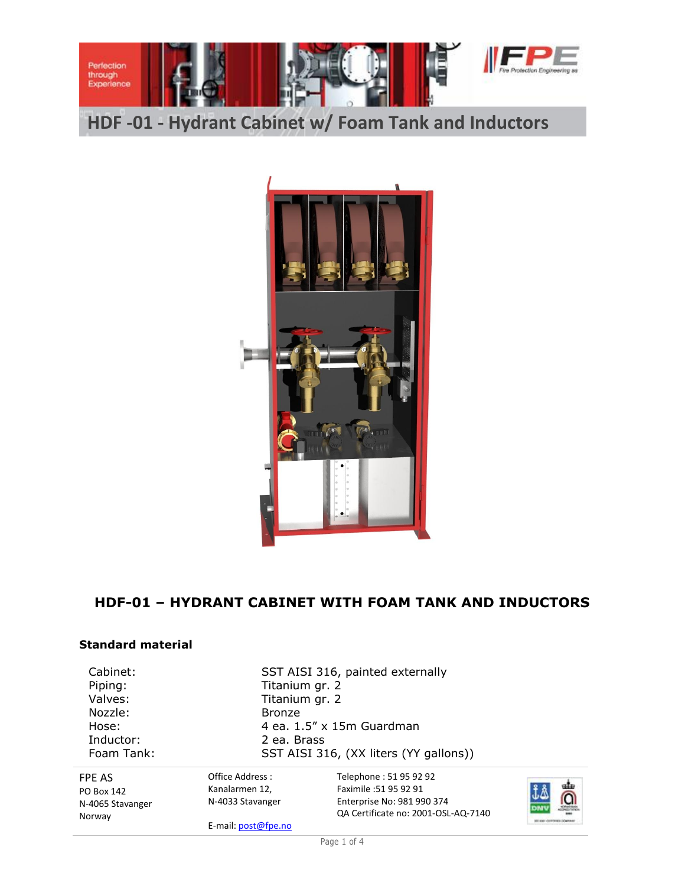

**HDF -01 - Hydrant Cabinet w/ Foam Tank and Inductors**



# **HDF-01 – HYDRANT CABINET WITH FOAM TANK AND INDUCTORS**

#### **Standard material**

Nozzle: Bronze Inductor: 2 ea. Brass

Cabinet: SST AISI 316, painted externally Piping: Titanium gr. 2 Valves: Titanium gr. 2 Hose: 4 ea. 1.5" x 15m Guardman Foam Tank: SST AISI 316, (XX liters (YY gallons))

FPE AS PO Box 142 N-4065 Stavanger Norway

Office Address : Kanalarmen 12, N-4033 Stavanger

E-mail: post@fpe.no

Telephone : 51 95 92 92 Faximile :51 95 92 91 Enterprise No: 981 990 374 QA Certificate no: 2001-OSL-AQ-7140

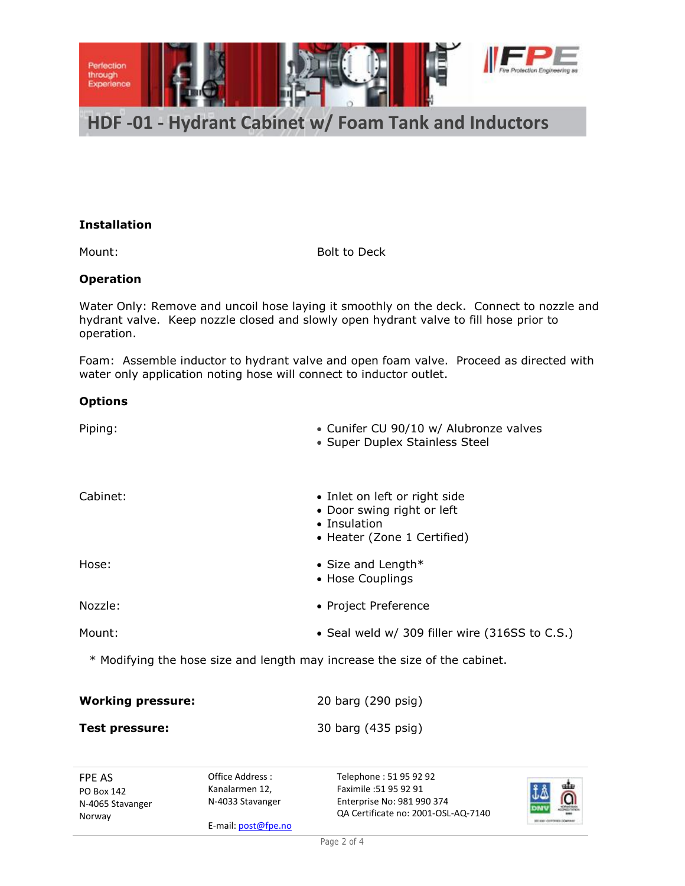

#### **Installation**

Mount: Bolt to Deck

### **Operation**

Water Only: Remove and uncoil hose laying it smoothly on the deck. Connect to nozzle and hydrant valve. Keep nozzle closed and slowly open hydrant valve to fill hose prior to operation.

Foam: Assemble inductor to hydrant valve and open foam valve. Proceed as directed with water only application noting hose will connect to inductor outlet.

#### **Options**

| Piping:  | • Cunifer CU 90/10 w/ Alubronze valves<br>• Super Duplex Stainless Steel                                   |
|----------|------------------------------------------------------------------------------------------------------------|
| Cabinet: | • Inlet on left or right side<br>• Door swing right or left<br>• Insulation<br>• Heater (Zone 1 Certified) |
| Hose:    | • Size and Length $*$<br>• Hose Couplings                                                                  |
| Nozzle:  | • Project Preference                                                                                       |
| Mount:   | • Seal weld w/ 309 filler wire (316SS to C.S.)                                                             |

\* Modifying the hose size and length may increase the size of the cabinet.

| <b>Working pressure:</b> | 20 barg (290 psig) |
|--------------------------|--------------------|
| Test pressure:           | 30 barg (435 psig) |

FPE AS PO Box 142 N-4065 Stavanger Norway

Office Address : Kanalarmen 12, N-4033 Stavanger

E-mail: post@fpe.no

Telephone : 51 95 92 92 Faximile :51 95 92 91 Enterprise No: 981 990 374 QA Certificate no: 2001-OSL-AQ-7140

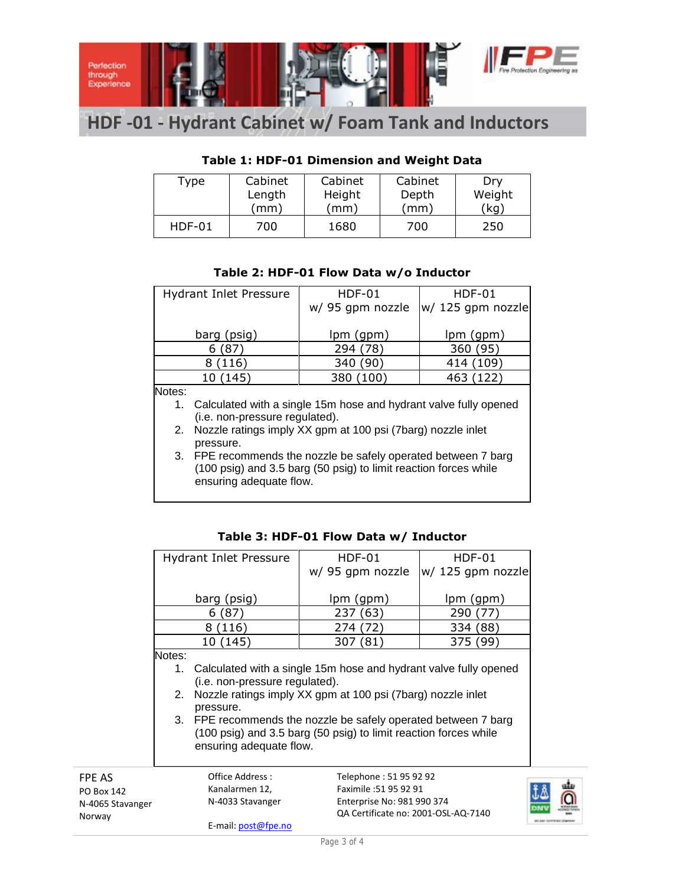

# **HDF -01 - Hydrant Cabinet w/ Foam Tank and Inductors**

## **Table 1: HDF-01 Dimension and Weight Data**

| Type     | Cabinet | Cabinet | Cabinet | Drv    |
|----------|---------|---------|---------|--------|
|          | Length  | Height  | Depth   | Weight |
|          | (mm)    | (mm)    | (mm)    | (kg)   |
| $HDF-01$ | 700     | 1680    | 700     | 250    |

#### **Table 2: HDF-01 Flow Data w/o Inductor**

| <b>Hydrant Inlet Pressure</b>  | <b>HDF-01</b>                                                       | $HDF-01$          |  |  |  |
|--------------------------------|---------------------------------------------------------------------|-------------------|--|--|--|
|                                | w/ 95 gpm nozzle                                                    | w/ 125 gpm nozzle |  |  |  |
|                                |                                                                     |                   |  |  |  |
| barg (psig)                    | lpm (gpm)                                                           | lpm (gpm)         |  |  |  |
| 6(87)                          | 294 (78)                                                            | 360 (95)          |  |  |  |
| 8(116)                         | 340 (90)                                                            | 414 (109)         |  |  |  |
| 10 (145)                       | 380 (100)                                                           | 463 (122)         |  |  |  |
| Notes:                         |                                                                     |                   |  |  |  |
|                                | 1. Calculated with a single 15m hose and hydrant valve fully opened |                   |  |  |  |
| (i.e. non-pressure regulated). |                                                                     |                   |  |  |  |
|                                | 2. Nozzle ratings imply XX gpm at 100 psi (7barg) nozzle inlet      |                   |  |  |  |
| pressure.                      |                                                                     |                   |  |  |  |
| 3.                             | FPE recommends the nozzle be safely operated between 7 barg         |                   |  |  |  |

3. FPE recommends the nozzle be safely operated between 7 barg (100 psig) and 3.5 barg (50 psig) to limit reaction forces while ensuring adequate flow.

| <b>Hydrant Inlet Pressure</b>                                                  | <b>HDF-01</b>                     | $HDF-01$                     |  |  |  |
|--------------------------------------------------------------------------------|-----------------------------------|------------------------------|--|--|--|
|                                                                                | w/ 95 gpm nozzle                  | w/ 125 gpm nozzle            |  |  |  |
|                                                                                |                                   |                              |  |  |  |
| barg (psig)                                                                    | lpm (gpm)                         | lpm (gpm)                    |  |  |  |
| 6(87)                                                                          | 237 (63)                          | 290 (<br>$\langle 7 \rangle$ |  |  |  |
| 8(116)                                                                         | 274 (72)                          | 334 (88)                     |  |  |  |
| 10 (145)                                                                       | 307 (81)                          | 375 (99)                     |  |  |  |
| Notes:                                                                         |                                   |                              |  |  |  |
| Calculated with a single 15m hose and hydrant valve fully opened<br>1.         |                                   |                              |  |  |  |
| (i.e. non-pressure regulated).                                                 |                                   |                              |  |  |  |
| Nozzle ratings imply XX gpm at 100 psi (7barg) nozzle inlet<br>2.<br>pressure. |                                   |                              |  |  |  |
| 3. FPE recommends the nozzle be safely operated between 7 barg                 |                                   |                              |  |  |  |
| (100 psig) and 3.5 barg (50 psig) to limit reaction forces while               |                                   |                              |  |  |  |
| ensuring adequate flow.                                                        |                                   |                              |  |  |  |
|                                                                                |                                   |                              |  |  |  |
| Office Address:                                                                | Telephone: 51 95 92 92            |                              |  |  |  |
| Kanalarmen 12,                                                                 | Faximile :51 95 92 91             |                              |  |  |  |
| N-4033 Stavanger                                                               | $Enterrice$ $No: Q21$ $QQ0$ $27A$ |                              |  |  |  |

#### **Table 3: HDF-01 Flow Data w/ Inductor**

FPE AS PO Box 142 N-4065 Stavanger Norway

N-4033 Stavanger E-mail: post@fpe.no

Enterprise No: 981 990 374 QA Certificate no: 2001-OSL-AQ-7140